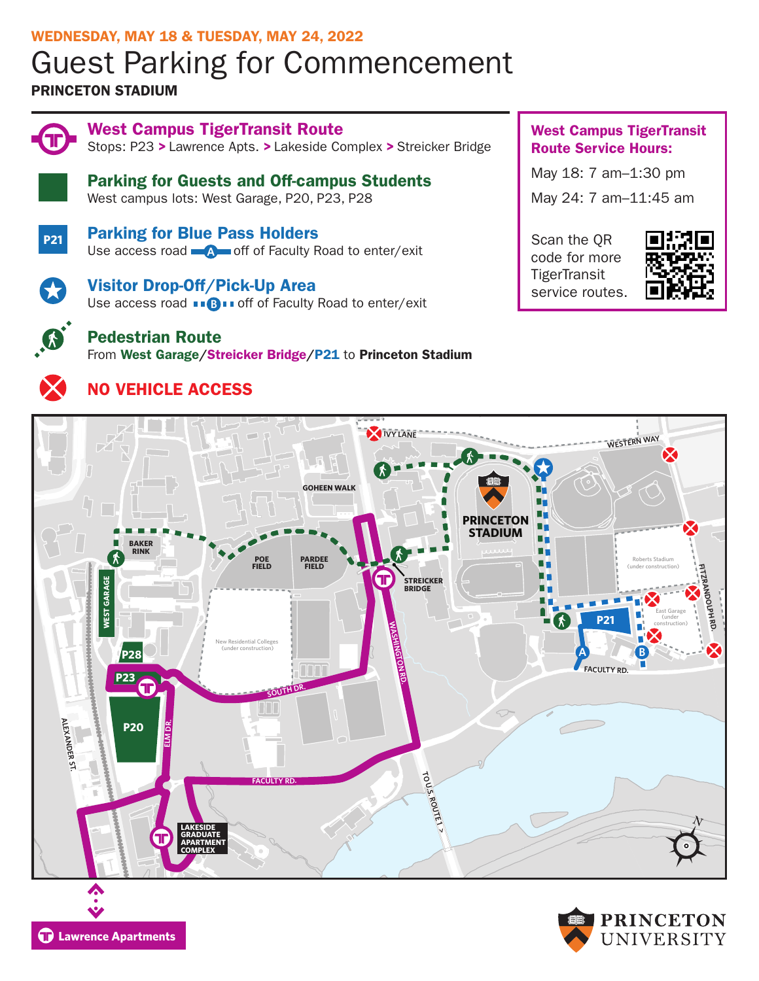# WEDNESDAY, MAY 18 & TUESDAY, MAY 24, 2022 Guest Parking for Commencement

## PRINCETON STADIUM



West Campus TigerTransit Route Stops: P23 > Lawrence Apts. > Lakeside Complex > Streicker Bridge

Parking for Guests and Off-campus Students West campus lots: West Garage, P20, P23, P28



Parking for Blue Pass Holders Use access road **A** off of Faculty Road to enter/exit



Visitor Drop-Off/Pick-Up Area Use access road **BBB** off of Faculty Road to enter/exit



# Pedestrian Route

From West Garage/Streicker Bridge/P21 to Princeton Stadium



# NO VEHICLE ACCESS

West Campus TigerTransit Route Service Hours:

 $\mathbf{1}$ May 18: 7 am–1:30 pm May 24: 7 am–11:45 am

Scan the QR code for more **TigerTransit** service routes.